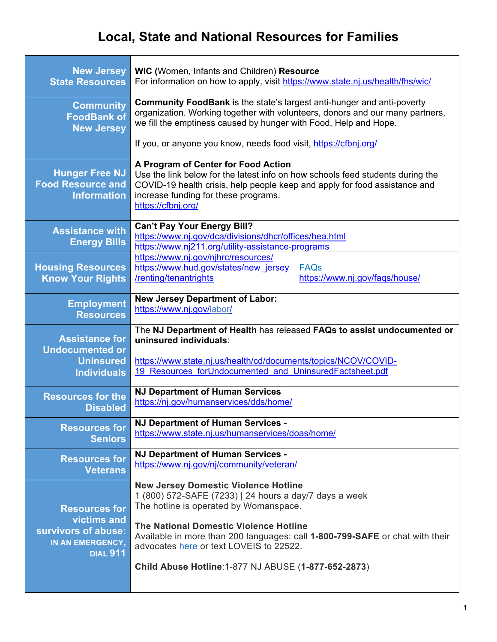## **Local, State and National Resources for Families**

| <b>New Jersey</b>                                                                                 | <b>WIC</b> (Women, Infants and Children) Resource                                                                                                                                                                                                                                                                                                                            |                                               |
|---------------------------------------------------------------------------------------------------|------------------------------------------------------------------------------------------------------------------------------------------------------------------------------------------------------------------------------------------------------------------------------------------------------------------------------------------------------------------------------|-----------------------------------------------|
| <b>State Resources</b>                                                                            | For information on how to apply, visit https://www.state.nj.us/health/fhs/wic/                                                                                                                                                                                                                                                                                               |                                               |
| <b>Community</b>                                                                                  | <b>Community FoodBank</b> is the state's largest anti-hunger and anti-poverty                                                                                                                                                                                                                                                                                                |                                               |
| <b>FoodBank of</b>                                                                                | organization. Working together with volunteers, donors and our many partners,                                                                                                                                                                                                                                                                                                |                                               |
| <b>New Jersey</b>                                                                                 | we fill the emptiness caused by hunger with Food, Help and Hope.                                                                                                                                                                                                                                                                                                             |                                               |
|                                                                                                   | If you, or anyone you know, needs food visit, https://cfbnj.org/                                                                                                                                                                                                                                                                                                             |                                               |
| <b>Hunger Free NJ</b><br><b>Food Resource and</b><br><b>Information</b>                           | A Program of Center for Food Action<br>Use the link below for the latest info on how schools feed students during the<br>COVID-19 health crisis, help people keep and apply for food assistance and<br>increase funding for these programs.<br>https://cfbnj.org/                                                                                                            |                                               |
| <b>Assistance with</b><br><b>Energy Bills</b>                                                     | <b>Can't Pay Your Energy Bill?</b><br>https://www.nj.gov/dca/divisions/dhcr/offices/hea.html<br>https://www.nj211.org/utility-assistance-programs                                                                                                                                                                                                                            |                                               |
| <b>Housing Resources</b><br><b>Know Your Rights</b>                                               | https://www.nj.gov/njhrc/resources/<br>https://www.hud.gov/states/new_jersey<br>/renting/tenantrights                                                                                                                                                                                                                                                                        | <b>FAQs</b><br>https://www.nj.gov/faqs/house/ |
| <b>Employment</b>                                                                                 | <b>New Jersey Department of Labor:</b>                                                                                                                                                                                                                                                                                                                                       |                                               |
| <b>Resources</b>                                                                                  | https://www.nj.gov/labor/                                                                                                                                                                                                                                                                                                                                                    |                                               |
| <b>Assistance for</b>                                                                             | The NJ Department of Health has released FAQs to assist undocumented or                                                                                                                                                                                                                                                                                                      |                                               |
| <b>Undocumented or</b>                                                                            | uninsured individuals:                                                                                                                                                                                                                                                                                                                                                       |                                               |
| <b>Uninsured</b>                                                                                  | https://www.state.nj.us/health/cd/documents/topics/NCOV/COVID-                                                                                                                                                                                                                                                                                                               |                                               |
| <b>Individuals</b>                                                                                | 19 Resources forUndocumented and UninsuredFactsheet.pdf                                                                                                                                                                                                                                                                                                                      |                                               |
| <b>Resources for the</b>                                                                          | <b>NJ Department of Human Services</b>                                                                                                                                                                                                                                                                                                                                       |                                               |
| <b>Disabled</b>                                                                                   | https://nj.gov/humanservices/dds/home/                                                                                                                                                                                                                                                                                                                                       |                                               |
| <b>Resources for</b>                                                                              | NJ Department of Human Services -                                                                                                                                                                                                                                                                                                                                            |                                               |
| <b>Seniors</b>                                                                                    | https://www.state.nj.us/humanservices/doas/home/                                                                                                                                                                                                                                                                                                                             |                                               |
| <b>Resources for</b>                                                                              | NJ Department of Human Services -                                                                                                                                                                                                                                                                                                                                            |                                               |
| <b>Veterans</b>                                                                                   | https://www.nj.gov/nj/community/veteran/                                                                                                                                                                                                                                                                                                                                     |                                               |
| <b>Resources for</b><br>victims and<br>survivors of abuse:<br>IN AN EMERGENCY,<br><b>DIAL 911</b> | <b>New Jersey Domestic Violence Hotline</b><br>1 (800) 572-SAFE (7233)   24 hours a day/7 days a week<br>The hotline is operated by Womanspace.<br>The National Domestic Violence Hotline<br>Available in more than 200 languages: call 1-800-799-SAFE or chat with their<br>advocates here or text LOVEIS to 22522.<br>Child Abuse Hotline: 1-877 NJ ABUSE (1-877-652-2873) |                                               |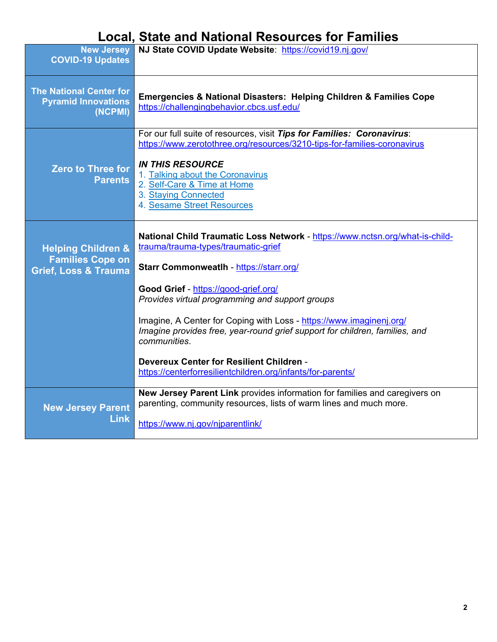## **Local, State and National Resources for Families**

| <b>New Jersey</b>                                                       | NJ State COVID Update Website: https://covid19.nj.gov/                                                                                                                               |  |
|-------------------------------------------------------------------------|--------------------------------------------------------------------------------------------------------------------------------------------------------------------------------------|--|
| <b>COVID-19 Updates</b>                                                 |                                                                                                                                                                                      |  |
| <b>The National Center for</b><br><b>Pyramid Innovations</b><br>(NCPMI) | Emergencies & National Disasters: Helping Children & Families Cope<br>https://challengingbehavior.cbcs.usf.edu/                                                                      |  |
|                                                                         | For our full suite of resources, visit Tips for Families: Coronavirus:<br>https://www.zerotothree.org/resources/3210-tips-for-families-coronavirus                                   |  |
| <b>Zero to Three for</b><br><b>Parents</b>                              | <b>IN THIS RESOURCE</b><br>1. Talking about the Coronavirus<br>2. Self-Care & Time at Home<br>3. Staying Connected<br>4. Sesame Street Resources                                     |  |
| <b>Helping Children &amp;</b><br><b>Families Cope on</b>                | National Child Traumatic Loss Network - https://www.nctsn.org/what-is-child-<br>trauma/trauma-types/traumatic-grief                                                                  |  |
| <b>Grief, Loss &amp; Trauma</b>                                         | Starr Commonweatlh - https://starr.org/                                                                                                                                              |  |
|                                                                         | Good Grief - https://good-grief.org/<br>Provides virtual programming and support groups                                                                                              |  |
|                                                                         | Imagine, A Center for Coping with Loss - https://www.imaginenj.org/<br>Imagine provides free, year-round grief support for children, families, and<br>communities.                   |  |
|                                                                         | Devereux Center for Resilient Children -<br>https://centerforresilientchildren.org/infants/for-parents/                                                                              |  |
| <b>New Jersey Parent</b><br><b>Link</b>                                 | New Jersey Parent Link provides information for families and caregivers on<br>parenting, community resources, lists of warm lines and much more.<br>https://www.nj.gov/njparentlink/ |  |
|                                                                         |                                                                                                                                                                                      |  |